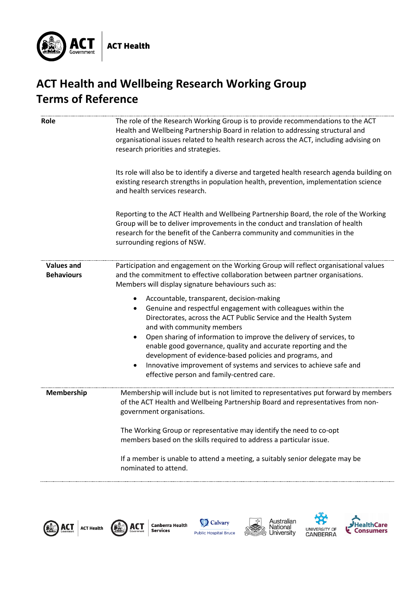

## **ACT Health and Wellbeing Research Working Group Terms of Reference**

| Role                                   | The role of the Research Working Group is to provide recommendations to the ACT<br>Health and Wellbeing Partnership Board in relation to addressing structural and<br>organisational issues related to health research across the ACT, including advising on<br>research priorities and strategies.                                            |
|----------------------------------------|------------------------------------------------------------------------------------------------------------------------------------------------------------------------------------------------------------------------------------------------------------------------------------------------------------------------------------------------|
|                                        | Its role will also be to identify a diverse and targeted health research agenda building on<br>existing research strengths in population health, prevention, implementation science<br>and health services research.                                                                                                                           |
|                                        | Reporting to the ACT Health and Wellbeing Partnership Board, the role of the Working<br>Group will be to deliver improvements in the conduct and translation of health<br>research for the benefit of the Canberra community and communities in the<br>surrounding regions of NSW.                                                             |
| <b>Values and</b><br><b>Behaviours</b> | Participation and engagement on the Working Group will reflect organisational values<br>and the commitment to effective collaboration between partner organisations.<br>Members will display signature behaviours such as:                                                                                                                     |
|                                        | Accountable, transparent, decision-making<br>Genuine and respectful engagement with colleagues within the<br>$\bullet$<br>Directorates, across the ACT Public Service and the Health System<br>and with community members                                                                                                                      |
|                                        | Open sharing of information to improve the delivery of services, to<br>$\bullet$<br>enable good governance, quality and accurate reporting and the<br>development of evidence-based policies and programs, and<br>Innovative improvement of systems and services to achieve safe and<br>$\bullet$<br>effective person and family-centred care. |
| Membership                             | Membership will include but is not limited to representatives put forward by members<br>of the ACT Health and Wellbeing Partnership Board and representatives from non-<br>government organisations.                                                                                                                                           |
|                                        | The Working Group or representative may identify the need to co-opt<br>members based on the skills required to address a particular issue.                                                                                                                                                                                                     |
|                                        | If a member is unable to attend a meeting, a suitably senior delegate may be<br>nominated to attend.                                                                                                                                                                                                                                           |



Canberra Health<br>Services